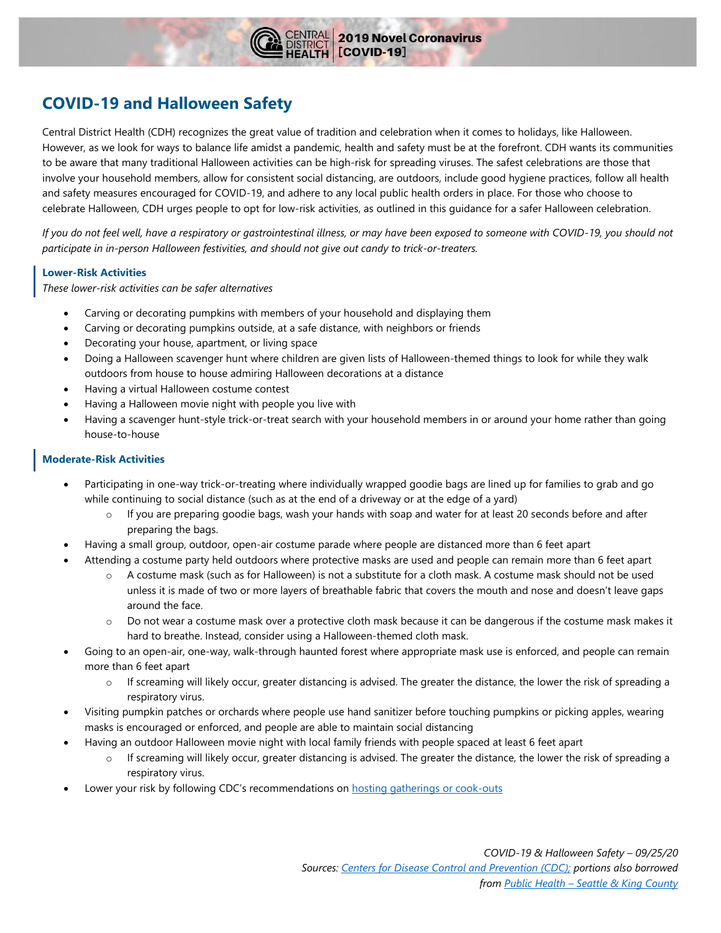

# **COVID-19 and Halloween Safety**

Central District Health (CDH) recognizes the great value of tradition and celebration when it comes to holidays, like Halloween. However, as we look for ways to balance life amidst a pandemic, health and safety must be at the forefront. CDH wants its communities to be aware that many traditional Halloween activities can be high-risk for spreading viruses. The safest celebrations are those that involve your household members, allow for consistent social distancing, are outdoors, include good hygiene practices, follow all health and safety measures encouraged for COVID-19, and adhere to any local public health orders in place. For those who choose to celebrate Halloween, CDH urges people to opt for low-risk activities, as outlined in this guidance for a safer Halloween celebration.

*If you do not feel well, have a respiratory or gastrointestinal illness, or may have been exposed to someone with COVID-19, you should not participate in in-person Halloween festivities, and should not give out candy to trick-or-treaters.*

## **Lower-Risk Activities**

*These lower-risk activities can be safer alternatives*

- Carving or decorating pumpkins with members of your household and displaying them
- Carving or decorating pumpkins outside, at a safe distance, with neighbors or friends
- Decorating your house, apartment, or living space
- Doing a Halloween scavenger hunt where children are given lists of Halloween-themed things to look for while they walk outdoors from house to house admiring Halloween decorations at a distance
- Having a virtual Halloween costume contest
- Having a Halloween movie night with people you live with
- Having a scavenger hunt-style trick-or-treat search with your household members in or around your home rather than going house-to-house

## **Moderate-Risk Activities**

- Participating in one-way trick-or-treating where individually wrapped goodie bags are lined up for families to grab and go while continuing to social distance (such as at the end of a driveway or at the edge of a yard)
	- $\circ$  If you are preparing goodie bags, wash your hands with soap and water for at least 20 seconds before and after preparing the bags.
- Having a small group, outdoor, open-air costume parade where people are distanced more than 6 feet apart
- Attending a costume party held outdoors where protective masks are used and people can remain more than 6 feet apart
	- o A costume mask (such as for Halloween) is not a substitute for a cloth mask. A costume mask should not be used unless it is made of two or more layers of breathable fabric that covers the mouth and nose and doesn't leave gaps around the face.
	- o Do not wear a costume mask over a protective cloth mask because it can be dangerous if the costume mask makes it hard to breathe. Instead, consider using a Halloween-themed cloth mask.
- Going to an open-air, one-way, walk-through haunted forest where appropriate mask use is enforced, and people can remain more than 6 feet apart
	- $\circ$  If screaming will likely occur, greater distancing is advised. The greater the distance, the lower the risk of spreading a respiratory virus.
- Visiting pumpkin patches or orchards where people use hand sanitizer before touching pumpkins or picking apples, wearing masks is encouraged or enforced, and people are able to maintain social distancing
- Having an outdoor Halloween movie night with local family friends with people spaced at least 6 feet apart
	- If screaming will likely occur, greater distancing is advised. The greater the distance, the lower the risk of spreading a respiratory virus.
- Lower your risk by following CDC's recommendations on **[hosting gatherings or cook-outs](https://www.cdc.gov/coronavirus/2019-ncov/daily-life-coping/personal-social-activities.html#:~:text=Attending%20an%20event%20or%20gathering,-Prepare%20before%20you&text=Prioritize%20attending%20outdoor%20activities%20over,%25%20alcohol%2C%20and%20drinking%20water.)**